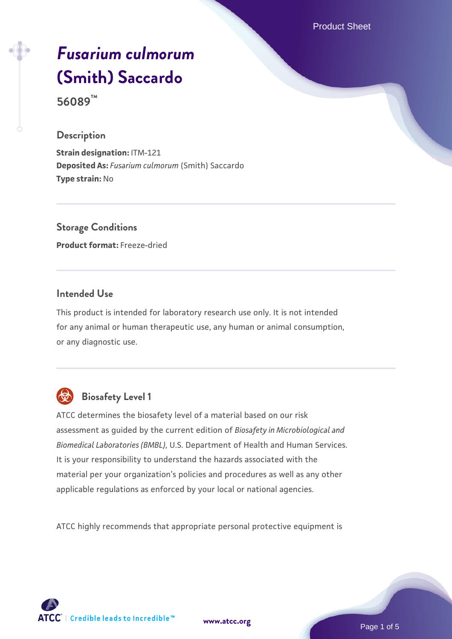Product Sheet

# *[Fusarium culmorum](https://www.atcc.org/products/56089)* **[\(Smith\) Saccardo](https://www.atcc.org/products/56089)**

**56089™**

#### **Description**

**Strain designation:** ITM-121 **Deposited As:** *Fusarium culmorum* (Smith) Saccardo **Type strain:** No

**Storage Conditions Product format:** Freeze-dried

#### **Intended Use**

This product is intended for laboratory research use only. It is not intended for any animal or human therapeutic use, any human or animal consumption, or any diagnostic use.



# **Biosafety Level 1**

ATCC determines the biosafety level of a material based on our risk assessment as guided by the current edition of *Biosafety in Microbiological and Biomedical Laboratories (BMBL)*, U.S. Department of Health and Human Services. It is your responsibility to understand the hazards associated with the material per your organization's policies and procedures as well as any other applicable regulations as enforced by your local or national agencies.

ATCC highly recommends that appropriate personal protective equipment is

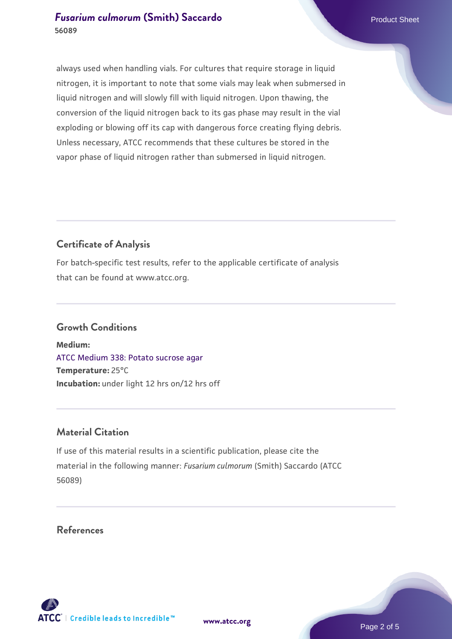#### **[Fusarium culmorum](https://www.atcc.org/products/56089) [\(Smith\) Saccardo](https://www.atcc.org/products/56089) Product Sheet** Product Sheet **56089**

always used when handling vials. For cultures that require storage in liquid nitrogen, it is important to note that some vials may leak when submersed in liquid nitrogen and will slowly fill with liquid nitrogen. Upon thawing, the conversion of the liquid nitrogen back to its gas phase may result in the vial exploding or blowing off its cap with dangerous force creating flying debris. Unless necessary, ATCC recommends that these cultures be stored in the vapor phase of liquid nitrogen rather than submersed in liquid nitrogen.

### **Certificate of Analysis**

For batch-specific test results, refer to the applicable certificate of analysis that can be found at www.atcc.org.

#### **Growth Conditions**

**Medium:**  [ATCC Medium 338: Potato sucrose agar](https://www.atcc.org/-/media/product-assets/documents/microbial-media-formulations/3/3/8/atcc-medium-338.pdf?rev=46546b6f4a85482b856b30458c18db73) **Temperature:** 25°C **Incubation:** under light 12 hrs on/12 hrs off

#### **Material Citation**

If use of this material results in a scientific publication, please cite the material in the following manner: *Fusarium culmorum* (Smith) Saccardo (ATCC 56089)

#### **References**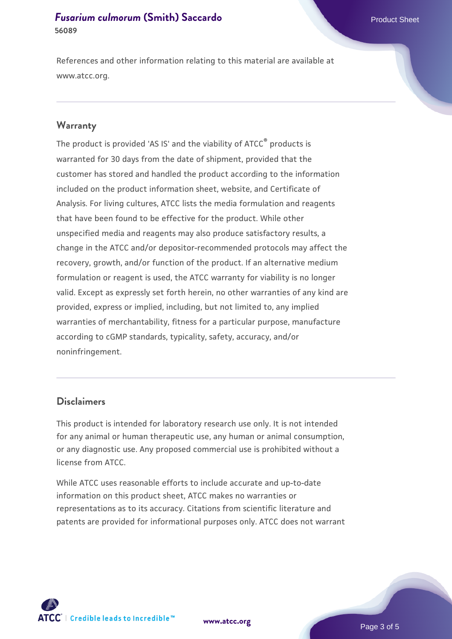#### **[Fusarium culmorum](https://www.atcc.org/products/56089) [\(Smith\) Saccardo](https://www.atcc.org/products/56089) Product Sheet** Product Sheet **56089**

References and other information relating to this material are available at www.atcc.org.

#### **Warranty**

The product is provided 'AS IS' and the viability of ATCC® products is warranted for 30 days from the date of shipment, provided that the customer has stored and handled the product according to the information included on the product information sheet, website, and Certificate of Analysis. For living cultures, ATCC lists the media formulation and reagents that have been found to be effective for the product. While other unspecified media and reagents may also produce satisfactory results, a change in the ATCC and/or depositor-recommended protocols may affect the recovery, growth, and/or function of the product. If an alternative medium formulation or reagent is used, the ATCC warranty for viability is no longer valid. Except as expressly set forth herein, no other warranties of any kind are provided, express or implied, including, but not limited to, any implied warranties of merchantability, fitness for a particular purpose, manufacture according to cGMP standards, typicality, safety, accuracy, and/or noninfringement.

#### **Disclaimers**

This product is intended for laboratory research use only. It is not intended for any animal or human therapeutic use, any human or animal consumption, or any diagnostic use. Any proposed commercial use is prohibited without a license from ATCC.

While ATCC uses reasonable efforts to include accurate and up-to-date information on this product sheet, ATCC makes no warranties or representations as to its accuracy. Citations from scientific literature and patents are provided for informational purposes only. ATCC does not warrant





Page 3 of 5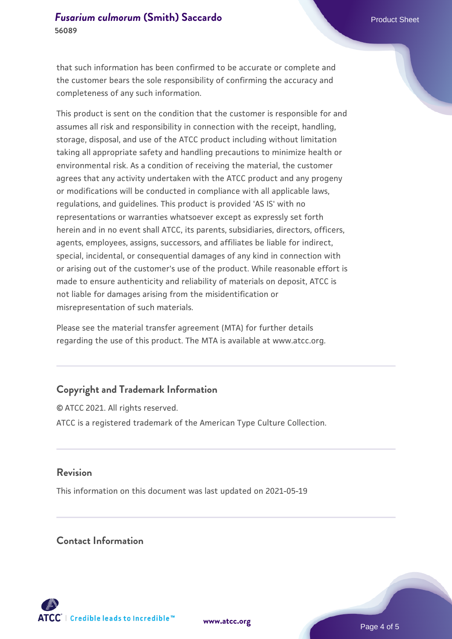that such information has been confirmed to be accurate or complete and the customer bears the sole responsibility of confirming the accuracy and completeness of any such information.

This product is sent on the condition that the customer is responsible for and assumes all risk and responsibility in connection with the receipt, handling, storage, disposal, and use of the ATCC product including without limitation taking all appropriate safety and handling precautions to minimize health or environmental risk. As a condition of receiving the material, the customer agrees that any activity undertaken with the ATCC product and any progeny or modifications will be conducted in compliance with all applicable laws, regulations, and guidelines. This product is provided 'AS IS' with no representations or warranties whatsoever except as expressly set forth herein and in no event shall ATCC, its parents, subsidiaries, directors, officers, agents, employees, assigns, successors, and affiliates be liable for indirect, special, incidental, or consequential damages of any kind in connection with or arising out of the customer's use of the product. While reasonable effort is made to ensure authenticity and reliability of materials on deposit, ATCC is not liable for damages arising from the misidentification or misrepresentation of such materials.

Please see the material transfer agreement (MTA) for further details regarding the use of this product. The MTA is available at www.atcc.org.

#### **Copyright and Trademark Information**

© ATCC 2021. All rights reserved. ATCC is a registered trademark of the American Type Culture Collection.

#### **Revision**

This information on this document was last updated on 2021-05-19

#### **Contact Information**